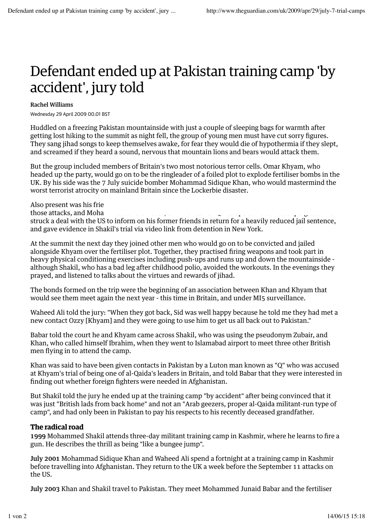## Defendant ended up at Pakistan training camp 'by accident', jury told

## Rachel Williams

Wednesday 29 April 2009 00.01 BST

Huddled on a freezing Pakistan mountainside with just a couple of sleeping bags for warmth after getting lost hiking to the summit as night fell, the group of young men must have cut sorry figures. They sang jihad songs to keep themselves awake, for fear they would die of hypothermia if they slept, and screamed if they heard a sound, nervous that mountain lions and bears would attack them.

But the group included members of Britain's two most notorious terror cells. Omar Khyam, who headed up the party, would go on to be the ringleader of a foiled plot to explode fertiliser bombs in the UK. By his side was the 7 July suicide bomber Mohammad Sidique Khan, who would mastermind the worst terrorist atrocity on mainland Britain since the Lockerbie disaster.

Also present was his frie those attacks, and Moha struck a deal with the US to inform on his former friends in return for a heavily reduced jail sentence, and gave evidence in Shakil's trial via video link from detention in New York.

At the summit the next day they joined other men who would go on to be convicted and jailed alongside Khyam over the fertiliser plot. Together, they practised firing weapons and took part in heavy physical conditioning exercises including push-ups and runs up and down the mountainside although Shakil, who has a bad leg after childhood polio, avoided the workouts. In the evenings they prayed, and listened to talks about the virtues and rewards of jihad.

The bonds formed on the trip were the beginning of an association between Khan and Khyam that would see them meet again the next year - this time in Britain, and under MI5 surveillance.

Waheed Ali told the jury: "When they got back, Sid was well happy because he told me they had met a new contact Ozzy [Khyam] and they were going to use him to get us all back out to Pakistan."

Babar told the court he and Khyam came across Shakil, who was using the pseudonym Zubair, and Khan, who called himself Ibrahim, when they went to Islamabad airport to meet three other British men flying in to attend the camp.

Khan was said to have been given contacts in Pakistan by a Luton man known as "Q" who was accused at Khyam's trial of being one of al-Qaida's leaders in Britain, and told Babar that they were interested in finding out whether foreign fighters were needed in Afghanistan.

But Shakil told the jury he ended up at the training camp "by accident" after being convinced that it was just "British lads from back home" and not an "Arab geezers, proper al-Qaida militant-run type of camp", and had only been in Pakistan to pay his respects to his recently deceased grandfather.

## **The radical road**

1999 Mohammed Shakil attends three-day militant training camp in Kashmir, where he learns to fire a gun. He describes the thrill as being "like a bungee jump".

July 2001 Mohammad Sidique Khan and Waheed Ali spend a fortnight at a training camp in Kashmir before travelling into Afghanistan. They return to the UK a week before the September 11 attacks on the US.

July 2003 Khan and Shakil travel to Pakistan. They meet Mohammed Junaid Babar and the fertiliser